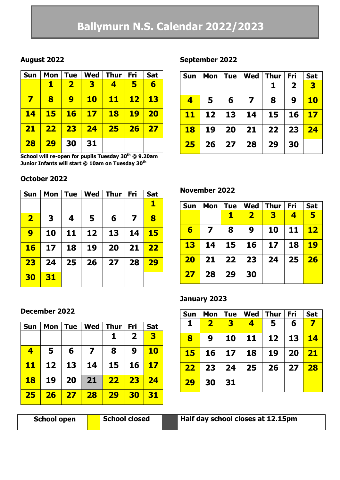# **Ballymurn N.S. Calendar 2022/2023**

#### **August 2022**

| Sun             |           |                         |                   | Mon   Tue   Wed   Thur   Fri |              | Sat            |
|-----------------|-----------|-------------------------|-------------------|------------------------------|--------------|----------------|
|                 | 1         | $\overline{\mathbf{2}}$ | 3                 | $\overline{\mathbf{4}}$      | 5            | $6\phantom{1}$ |
| 7               | 8         | 9                       | <b>10</b>         | 11                           | $12 \mid 13$ |                |
| 14 <sup>7</sup> | <b>15</b> | 16                      | $\blacksquare$ 17 | $\vert$ 18 $\vert$           | <b>19</b>    | <b>20</b>      |
| 21              |           | $22 \mid 23 \mid 24$    |                   | 25 <sub>2</sub>              | 26           | 27             |
| 28              | <b>29</b> | 30                      | 31                |                              |              |                |

**School will re-open for pupils Tuesday 30th @ 9.20am Junior Infants will start @ 10am on Tuesday 30th**

### **October 2022**

| <b>Sun</b>              | Mon | <b>Tue</b> | Wed | <b>Thur</b> | <b>Fri</b> | <b>Sat</b> |
|-------------------------|-----|------------|-----|-------------|------------|------------|
|                         |     |            |     |             |            | 1          |
| $\overline{\mathbf{2}}$ | 3   | 4          | 5   | 6           | 7          | 8          |
| 9                       | 10  | 11         | 12  | 13          | 14         | 15         |
| <b>16</b>               | 17  | 18         | 19  | 20          | 21         | 22         |
| 23                      | 24  | 25         | 26  | 27          | 28         | 29         |
| 30                      | 31  |            |     |             |            |            |

# **December 2022**

| <b>Sun</b>              | Mon       | <b>Tue</b> | Wed | <b>Thur</b> | Fri                     | <b>Sat</b> |
|-------------------------|-----------|------------|-----|-------------|-------------------------|------------|
|                         |           |            |     | 1           | $\overline{\mathbf{2}}$ | 3          |
| $\overline{\mathbf{4}}$ | 5         | 6          | 7   | 8           | 9                       | <b>10</b>  |
| 11                      | 12        | 13         | 14  | 15          | 16                      | 17         |
| <b>18</b>               | 19        | 20         | 21  | 22          | 23                      | 24         |
| 25                      | <b>26</b> | 27         | 28  | <b>29</b>   | 30                      | 31         |

## **September 2022**

| <b>Sun</b> | Mon             | <b>Tue</b> | Wed                     | <b>Thur</b> | Fri          | <b>Sat</b> |
|------------|-----------------|------------|-------------------------|-------------|--------------|------------|
|            |                 |            |                         | 1           | $\mathbf{2}$ | 3          |
| 4          | 5               | 6          | $\overline{\mathbf{z}}$ | 8           | 9            | <b>10</b>  |
| <b>11</b>  | 12 <sub>1</sub> | 13         | 14                      | 15          | 16           | 17         |
| <b>18</b>  | 19              | 20         | 21                      | 22          | 23           | 24         |
| 25         | 26              | 27         | 28                      | 29          | 30           |            |

#### **November 2022**

| <b>Sun</b>      | Mon | <b>Tue</b>        | <b>Wed</b> | <b>Thur</b> | Fri                     | <b>Sat</b> |
|-----------------|-----|-------------------|------------|-------------|-------------------------|------------|
|                 |     | 1                 | 2          | 3           | $\overline{\mathbf{4}}$ | 5          |
| $6\phantom{1}6$ | 7   | 8                 | 9          | 10          | 11                      | <u> 12</u> |
| 13              | 14  | 15                | 16         | 17          | 18                      | 19         |
| <b>20</b>       | 21  | $22 \overline{ }$ | 23         | 24          | 25                      | <b>26</b>  |
| 27              | 28  | 29                | 30         |             |                         |            |

#### **January 2023**

| <b>Sun</b>        | Mon                     | <b>Tue</b> | Wed                     | Thur | Fri | <b>Sat</b> |
|-------------------|-------------------------|------------|-------------------------|------|-----|------------|
| 1                 | $\overline{\mathbf{2}}$ | 3          | $\overline{\mathbf{4}}$ | 5    | 6   | 7          |
| 8                 | 9                       | 10         | 11                      | 12   | 13  | 14         |
| 15                | 16                      | 17         | 18                      | 19   | 20  | 21         |
| $22 \overline{)}$ | 23                      | 24         | 25                      | 26   | 27  | 28         |
| 29                | 30                      | 31         |                         |      |     |            |

| Half day school closes at 12.15pm<br><b>School closed</b><br><b>School open</b> |  |
|---------------------------------------------------------------------------------|--|
|---------------------------------------------------------------------------------|--|